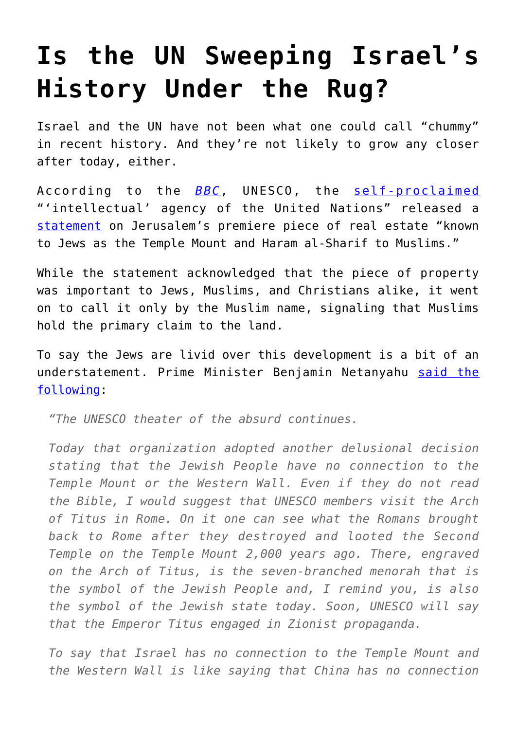## **[Is the UN Sweeping Israel's](https://intellectualtakeout.org/2016/10/is-the-un-sweeping-israels-history-under-the-rug/) [History Under the Rug?](https://intellectualtakeout.org/2016/10/is-the-un-sweeping-israels-history-under-the-rug/)**

Israel and the UN have not been what one could call "chummy" in recent history. And they're not likely to grow any closer after today, either.

According to the *[BBC](http://www.bbc.com/news/world-middle-east-37653910)*, UNESCO, the [self-proclaimed](http://en.unesco.org/about-us/introducing-unesco) "'intellectual' agency of the United Nations" released a [statement](http://unesdoc.unesco.org/images/0024/002462/246215e.pdf) on Jerusalem's premiere piece of real estate "known to Jews as the Temple Mount and Haram al-Sharif to Muslims."

While the statement acknowledged that the piece of property was important to Jews, Muslims, and Christians alike, it went on to call it only by the Muslim name, signaling that Muslims hold the primary claim to the land.

To say the Jews are livid over this development is a bit of an understatement. Prime Minister Benjamin Netanyahu [said the](https://www.facebook.com/IsraeliPM/posts/1441452229202851:0) [following:](https://www.facebook.com/IsraeliPM/posts/1441452229202851:0)

*"The UNESCO theater of the absurd continues.*

*Today that organization adopted another delusional decision stating that the Jewish People have no connection to the Temple Mount or the Western Wall. Even if they do not read the Bible, I would suggest that UNESCO members visit the Arch of Titus in Rome. On it one can see what the Romans brought back to Rome after they destroyed and looted the Second Temple on the Temple Mount 2,000 years ago. There, engraved on the Arch of Titus, is the seven-branched menorah that is the symbol of the Jewish People and, I remind you, is also the symbol of the Jewish state today. Soon, UNESCO will say that the Emperor Titus engaged in Zionist propaganda.*

*To say that Israel has no connection to the Temple Mount and the Western Wall is like saying that China has no connection*